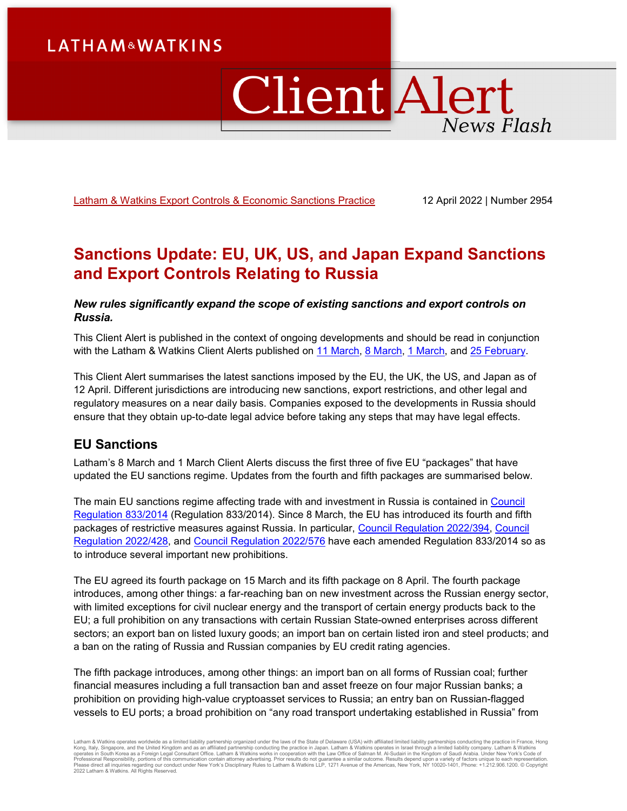# **LATHAM&WATKINS**

# ClientAlert **News Flash**

[Latham & Watkins Export Controls & Economic Sanctions Practice](https://www.lw.com/practices/ExportControlsAndEconomicSanctions) 12 April 2022 | Number 2954

# **Sanctions Update: EU, UK, US, and Japan Expand Sanctions and Export Controls Relating to Russia**

## *New rules significantly expand the scope of existing sanctions and export controls on Russia.*

This Client Alert is published in the context of ongoing developments and should be read in conjunction with the Latham & Watkins Client Alerts published on [11 March,](https://www.lw.com/thoughtLeadership/sanctions-update-us-targets-russia-energy-sector-announces-new-trade-restrictions-and-issues-new-sanctions-designations) [8 March,](https://www.lw.com/thoughtLeadership/Sanctions-Update-UK-and-EU-Expand-Sanctions-and-Export-Controls-Relating-to-Russia) [1 March,](https://www.lw.com/thoughtLeadership/Sanctions-Update-EU-UK-and-Japan-Impose-New-Sanctions-and-Export-Controls-Relating-to-Russia) and [25 February.](https://www.lw.com/thoughtLeadership/sanctions-update-us-uk-eu-impose-sweeping-new-sanctions-relating-to-russia-and-ukraine)

This Client Alert summarises the latest sanctions imposed by the EU, the UK, the US, and Japan as of 12 April. Different jurisdictions are introducing new sanctions, export restrictions, and other legal and regulatory measures on a near daily basis. Companies exposed to the developments in Russia should ensure that they obtain up-to-date legal advice before taking any steps that may have legal effects.

# **EU Sanctions**

Latham's 8 March and 1 March Client Alerts discuss the first three of five EU "packages" that have updated the EU sanctions regime. Updates from the fourth and fifth packages are summarised below.

The main EU sanctions regime affecting trade with and investment in Russia is contained in Council [Regulation 833/2014](https://eur-lex.europa.eu/legal-content/EN/TXT/PDF/?uri=CELEX:02014R0833-20220316&from=EN) (Regulation 833/2014). Since 8 March, the EU has introduced its fourth and fifth packages of restrictive measures against Russia. In particular, [Council Regulation 2022/394,](https://eur-lex.europa.eu/legal-content/EN/TXT/PDF/?uri=CELEX:32022R0394&from=EN) [Council](https://eur-lex.europa.eu/legal-content/EN/TXT/PDF/?uri=CELEX:32022R0428&from=EN)  [Regulation 2022/428,](https://eur-lex.europa.eu/legal-content/EN/TXT/PDF/?uri=CELEX:32022R0428&from=EN) and [Council Regulation 2022/576](https://eur-lex.europa.eu/legal-content/EN/TXT/PDF/?uri=CELEX:32022R0576&from=EN) have each amended Regulation 833/2014 so as to introduce several important new prohibitions.

The EU agreed its fourth package on 15 March and its fifth package on 8 April. The fourth package introduces, among other things: a far-reaching ban on new investment across the Russian energy sector, with limited exceptions for civil nuclear energy and the transport of certain energy products back to the EU; a full prohibition on any transactions with certain Russian State-owned enterprises across different sectors; an export ban on listed luxury goods; an import ban on certain listed iron and steel products; and a ban on the rating of Russia and Russian companies by EU credit rating agencies.

The fifth package introduces, among other things: an import ban on all forms of Russian coal; further financial measures including a full transaction ban and asset freeze on four major Russian banks; a prohibition on providing high-value cryptoasset services to Russia; an entry ban on Russian-flagged vessels to EU ports; a broad prohibition on "any road transport undertaking established in Russia" from

Latham & Watkins operates worldwide as a limited liability partnership organized under the laws of the State of Delaware (USA) with affiliated limited liability partnerships conducting the practice in France, Hong Kong, Italy, Singapore, and the United Kingdom and as an affiliated partnership conducting the practice in Japan. Latham & Watkins operates in Israel through a limited liability company. Latham & Watkins<br>operates in South 2022 Latham & Watkins. All Rights Reserved.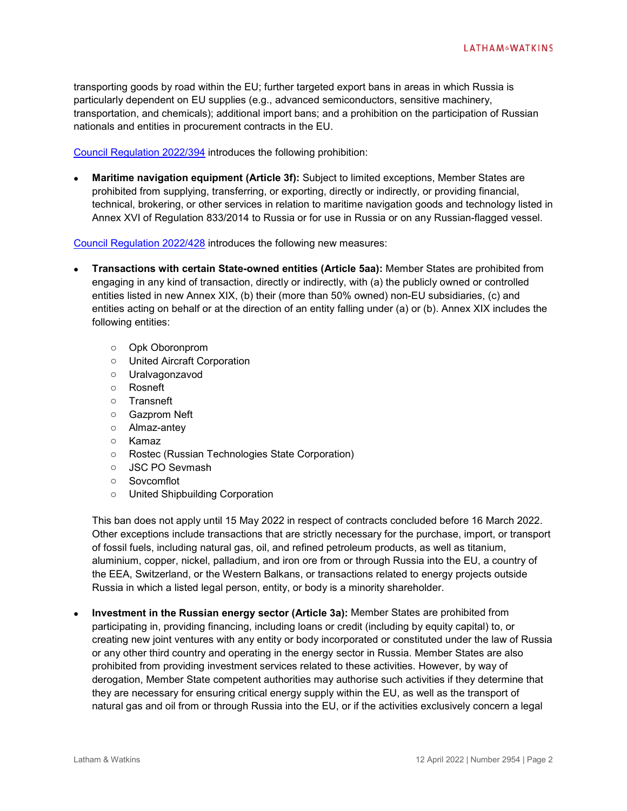transporting goods by road within the EU; further targeted export bans in areas in which Russia is particularly dependent on EU supplies (e.g., advanced semiconductors, sensitive machinery, transportation, and chemicals); additional import bans; and a prohibition on the participation of Russian nationals and entities in procurement contracts in the EU.

[Council Regulation 2022/394](https://eur-lex.europa.eu/legal-content/EN/TXT/PDF/?uri=CELEX:32022R0394&from=EN) introduces the following prohibition:

• **Maritime navigation equipment (Article 3f):** Subject to limited exceptions, Member States are prohibited from supplying, transferring, or exporting, directly or indirectly, or providing financial, technical, brokering, or other services in relation to maritime navigation goods and technology listed in Annex XVI of Regulation 833/2014 to Russia or for use in Russia or on any Russian-flagged vessel.

[Council Regulation 2022/428](https://eur-lex.europa.eu/legal-content/EN/TXT/PDF/?uri=CELEX:32022R0428&from=EN) introduces the following new measures:

- **Transactions with certain State-owned entities (Article 5aa):** Member States are prohibited from engaging in any kind of transaction, directly or indirectly, with (a) the publicly owned or controlled entities listed in new Annex XIX, (b) their (more than 50% owned) non-EU subsidiaries, (c) and entities acting on behalf or at the direction of an entity falling under (a) or (b). Annex XIX includes the following entities:
	- o Opk Oboronprom
	- o United Aircraft Corporation
	- o Uralvagonzavod
	- o Rosneft
	- o Transneft
	- o Gazprom Neft
	- o Almaz-antey
	- o Kamaz
	- o Rostec (Russian Technologies State Corporation)
	- o JSC PO Sevmash
	- o Sovcomflot
	- o United Shipbuilding Corporation

This ban does not apply until 15 May 2022 in respect of contracts concluded before 16 March 2022. Other exceptions include transactions that are strictly necessary for the purchase, import, or transport of fossil fuels, including natural gas, oil, and refined petroleum products, as well as titanium, aluminium, copper, nickel, palladium, and iron ore from or through Russia into the EU, a country of the EEA, Switzerland, or the Western Balkans, or transactions related to energy projects outside Russia in which a listed legal person, entity, or body is a minority shareholder.

• **Investment in the Russian energy sector (Article 3a):** Member States are prohibited from participating in, providing financing, including loans or credit (including by equity capital) to, or creating new joint ventures with any entity or body incorporated or constituted under the law of Russia or any other third country and operating in the energy sector in Russia. Member States are also prohibited from providing investment services related to these activities. However, by way of derogation, Member State competent authorities may authorise such activities if they determine that they are necessary for ensuring critical energy supply within the EU, as well as the transport of natural gas and oil from or through Russia into the EU, or if the activities exclusively concern a legal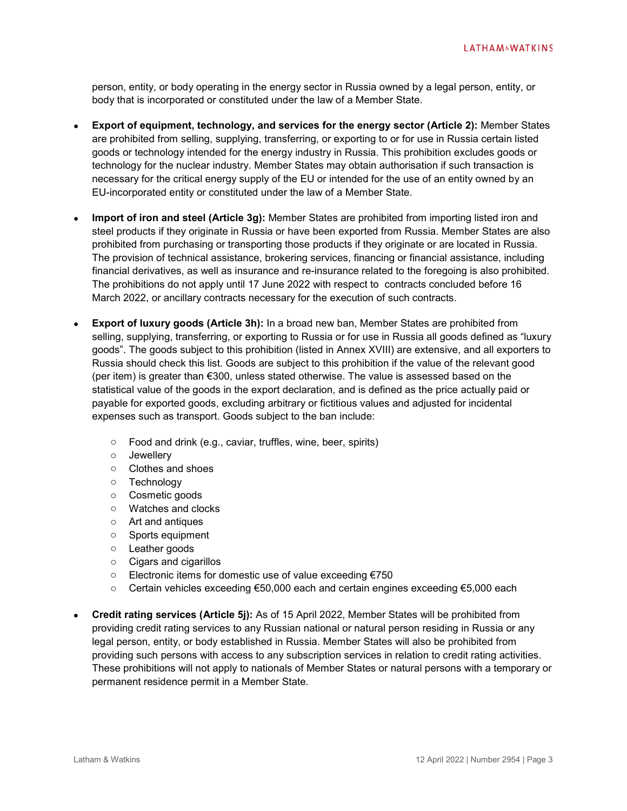person, entity, or body operating in the energy sector in Russia owned by a legal person, entity, or body that is incorporated or constituted under the law of a Member State.

- **Export of equipment, technology, and services for the energy sector (Article 2):** Member States are prohibited from selling, supplying, transferring, or exporting to or for use in Russia certain listed goods or technology intended for the energy industry in Russia. This prohibition excludes goods or technology for the nuclear industry. Member States may obtain authorisation if such transaction is necessary for the critical energy supply of the EU or intended for the use of an entity owned by an EU-incorporated entity or constituted under the law of a Member State.
- **Import of iron and steel (Article 3g):** Member States are prohibited from importing listed iron and steel products if they originate in Russia or have been exported from Russia. Member States are also prohibited from purchasing or transporting those products if they originate or are located in Russia. The provision of technical assistance, brokering services, financing or financial assistance, including financial derivatives, as well as insurance and re-insurance related to the foregoing is also prohibited. The prohibitions do not apply until 17 June 2022 with respect to contracts concluded before 16 March 2022, or ancillary contracts necessary for the execution of such contracts.
- **Export of luxury goods (Article 3h):** In a broad new ban, Member States are prohibited from selling, supplying, transferring, or exporting to Russia or for use in Russia all goods defined as "luxury goods". The goods subject to this prohibition (listed in Annex XVIII) are extensive, and all exporters to Russia should check this list. Goods are subject to this prohibition if the value of the relevant good (per item) is greater than €300, unless stated otherwise. The value is assessed based on the statistical value of the goods in the export declaration, and is defined as the price actually paid or payable for exported goods, excluding arbitrary or fictitious values and adjusted for incidental expenses such as transport. Goods subject to the ban include:
	- o Food and drink (e.g., caviar, truffles, wine, beer, spirits)
	- o Jewellery
	- o Clothes and shoes
	- o Technology
	- o Cosmetic goods
	- o Watches and clocks
	- o Art and antiques
	- o Sports equipment
	- o Leather goods
	- o Cigars and cigarillos
	- o Electronic items for domestic use of value exceeding €750
	- o Certain vehicles exceeding €50,000 each and certain engines exceeding €5,000 each
- **Credit rating services (Article 5j):** As of 15 April 2022, Member States will be prohibited from providing credit rating services to any Russian national or natural person residing in Russia or any legal person, entity, or body established in Russia. Member States will also be prohibited from providing such persons with access to any subscription services in relation to credit rating activities. These prohibitions will not apply to nationals of Member States or natural persons with a temporary or permanent residence permit in a Member State.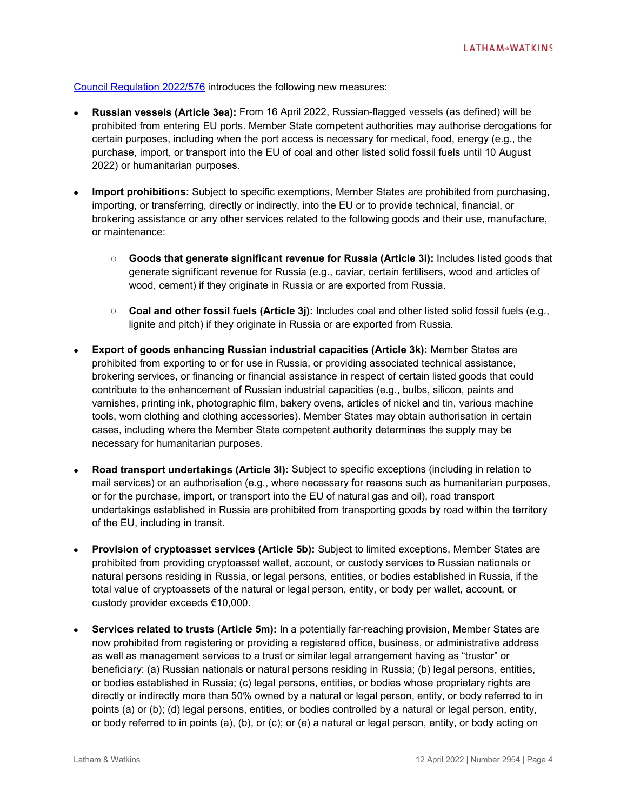[Council Regulation 2022/576](https://eur-lex.europa.eu/legal-content/EN/TXT/PDF/?uri=CELEX:32022R0576&from=EN) introduces the following new measures:

- **Russian vessels (Article 3ea):** From 16 April 2022, Russian-flagged vessels (as defined) will be prohibited from entering EU ports. Member State competent authorities may authorise derogations for certain purposes, including when the port access is necessary for medical, food, energy (e.g., the purchase, import, or transport into the EU of coal and other listed solid fossil fuels until 10 August 2022) or humanitarian purposes.
- **Import prohibitions:** Subject to specific exemptions, Member States are prohibited from purchasing, importing, or transferring, directly or indirectly, into the EU or to provide technical, financial, or brokering assistance or any other services related to the following goods and their use, manufacture, or maintenance:
	- o **Goods that generate significant revenue for Russia (Article 3i):** Includes listed goods that generate significant revenue for Russia (e.g., caviar, certain fertilisers, wood and articles of wood, cement) if they originate in Russia or are exported from Russia.
	- o **Coal and other fossil fuels (Article 3j):** Includes coal and other listed solid fossil fuels (e.g., lignite and pitch) if they originate in Russia or are exported from Russia.
- **Export of goods enhancing Russian industrial capacities (Article 3k):** Member States are prohibited from exporting to or for use in Russia, or providing associated technical assistance, brokering services, or financing or financial assistance in respect of certain listed goods that could contribute to the enhancement of Russian industrial capacities (e.g., bulbs, silicon, paints and varnishes, printing ink, photographic film, bakery ovens, articles of nickel and tin, various machine tools, worn clothing and clothing accessories). Member States may obtain authorisation in certain cases, including where the Member State competent authority determines the supply may be necessary for humanitarian purposes.
- **Road transport undertakings (Article 3l):** Subject to specific exceptions (including in relation to mail services) or an authorisation (e.g., where necessary for reasons such as humanitarian purposes, or for the purchase, import, or transport into the EU of natural gas and oil), road transport undertakings established in Russia are prohibited from transporting goods by road within the territory of the EU, including in transit.
- **Provision of cryptoasset services (Article 5b):** Subject to limited exceptions, Member States are prohibited from providing cryptoasset wallet, account, or custody services to Russian nationals or natural persons residing in Russia, or legal persons, entities, or bodies established in Russia, if the total value of cryptoassets of the natural or legal person, entity, or body per wallet, account, or custody provider exceeds €10,000.
- **Services related to trusts (Article 5m):** In a potentially far-reaching provision, Member States are now prohibited from registering or providing a registered office, business, or administrative address as well as management services to a trust or similar legal arrangement having as "trustor" or beneficiary: (a) Russian nationals or natural persons residing in Russia; (b) legal persons, entities, or bodies established in Russia; (c) legal persons, entities, or bodies whose proprietary rights are directly or indirectly more than 50% owned by a natural or legal person, entity, or body referred to in points (a) or (b); (d) legal persons, entities, or bodies controlled by a natural or legal person, entity, or body referred to in points (a), (b), or (c); or (e) a natural or legal person, entity, or body acting on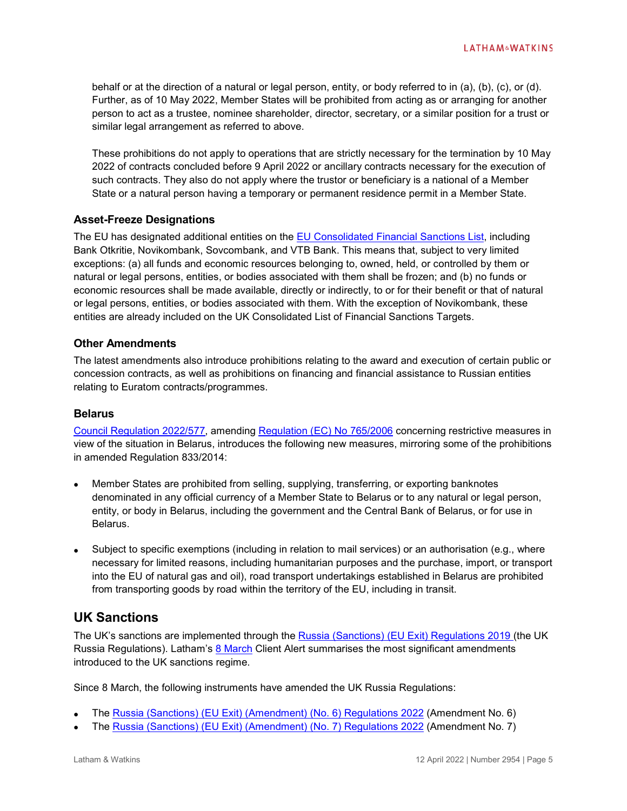behalf or at the direction of a natural or legal person, entity, or body referred to in (a), (b), (c), or (d). Further, as of 10 May 2022, Member States will be prohibited from acting as or arranging for another person to act as a trustee, nominee shareholder, director, secretary, or a similar position for a trust or similar legal arrangement as referred to above.

These prohibitions do not apply to operations that are strictly necessary for the termination by 10 May 2022 of contracts concluded before 9 April 2022 or ancillary contracts necessary for the execution of such contracts. They also do not apply where the trustor or beneficiary is a national of a Member State or a natural person having a temporary or permanent residence permit in a Member State.

#### **Asset-Freeze Designations**

The EU has designated additional entities on the [EU Consolidated Financial Sanctions List,](https://webgate.ec.europa.eu/fsd/fsf/public/files/pdfFullSanctionsList/content?token=dG9rZW4tMjAxNw) including Bank Otkritie, Novikombank, Sovcombank, and VTB Bank. This means that, subject to very limited exceptions: (a) all funds and economic resources belonging to, owned, held, or controlled by them or natural or legal persons, entities, or bodies associated with them shall be frozen; and (b) no funds or economic resources shall be made available, directly or indirectly, to or for their benefit or that of natural or legal persons, entities, or bodies associated with them. With the exception of Novikombank, these entities are already included on the UK Consolidated List of Financial Sanctions Targets.

#### **Other Amendments**

The latest amendments also introduce prohibitions relating to the award and execution of certain public or concession contracts, as well as prohibitions on financing and financial assistance to Russian entities relating to Euratom contracts/programmes.

#### **Belarus**

[Council Regulation 2022/577,](https://eur-lex.europa.eu/legal-content/EN/TXT/PDF/?uri=CELEX:32022R0577&from=EN) amending [Regulation \(EC\) No 765/2006](https://eur-lex.europa.eu/legal-content/EN/TXT/PDF/?uri=CELEX:32006R0765&from=EN) concerning restrictive measures in view of the situation in Belarus, introduces the following new measures, mirroring some of the prohibitions in amended Regulation 833/2014:

- Member States are prohibited from selling, supplying, transferring, or exporting banknotes denominated in any official currency of a Member State to Belarus or to any natural or legal person, entity, or body in Belarus, including the government and the Central Bank of Belarus, or for use in Belarus.
- Subject to specific exemptions (including in relation to mail services) or an authorisation (e.g., where necessary for limited reasons, including humanitarian purposes and the purchase, import, or transport into the EU of natural gas and oil), road transport undertakings established in Belarus are prohibited from transporting goods by road within the territory of the EU, including in transit.

# **UK Sanctions**

The UK's sanctions are implemented through the [Russia \(Sanctions\) \(EU Exit\) Regulations 2019 \(](https://www.legislation.gov.uk/uksi/2019/855/contents)the UK Russia Regulations). Latham's [8 March](https://www.lw.com/thoughtLeadership/Sanctions-Update-UK-and-EU-Expand-Sanctions-and-Export-Controls-Relating-to-Russia) Client Alert summarises the most significant amendments introduced to the UK sanctions regime.

Since 8 March, the following instruments have amended the UK Russia Regulations:

- The [Russia \(Sanctions\) \(EU Exit\) \(Amendment\) \(No. 6\) Regulations 2022](https://www.legislation.gov.uk/uksi/2022/241/contents/made) (Amendment No. 6)
- The Russia (Sanctions) [\(EU Exit\) \(Amendment\) \(No. 7\) Regulations 2022](https://www.legislation.gov.uk/uksi/2022/395/contents/made) (Amendment No. 7)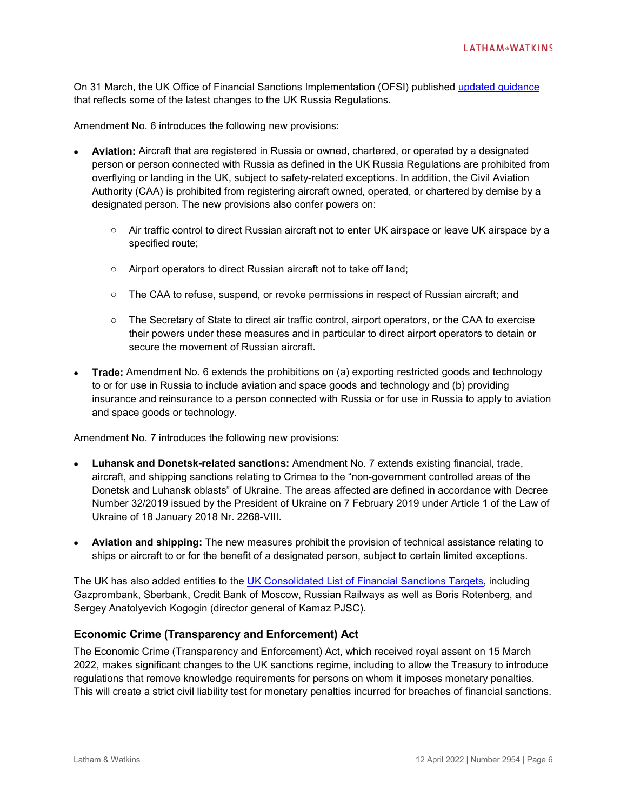On 31 March, the UK Office of Financial Sanctions Implementation (OFSI) published [updated guidance](https://assets.publishing.service.gov.uk/government/uploads/system/uploads/attachment_data/file/1065259/Russia_guidance_31.03.22.pdf) that reflects some of the latest changes to the UK Russia Regulations.

Amendment No. 6 introduces the following new provisions:

- **Aviation:** Aircraft that are registered in Russia or owned, chartered, or operated by a designated person or person connected with Russia as defined in the UK Russia Regulations are prohibited from overflying or landing in the UK, subject to safety-related exceptions. In addition, the Civil Aviation Authority (CAA) is prohibited from registering aircraft owned, operated, or chartered by demise by a designated person. The new provisions also confer powers on:
	- o Air traffic control to direct Russian aircraft not to enter UK airspace or leave UK airspace by a specified route;
	- o Airport operators to direct Russian aircraft not to take off land;
	- o The CAA to refuse, suspend, or revoke permissions in respect of Russian aircraft; and
	- o The Secretary of State to direct air traffic control, airport operators, or the CAA to exercise their powers under these measures and in particular to direct airport operators to detain or secure the movement of Russian aircraft.
- **Trade:** Amendment No. 6 extends the prohibitions on (a) exporting restricted goods and technology to or for use in Russia to include aviation and space goods and technology and (b) providing insurance and reinsurance to a person connected with Russia or for use in Russia to apply to aviation and space goods or technology.

Amendment No. 7 introduces the following new provisions:

- **Luhansk and Donetsk-related sanctions:** Amendment No. 7 extends existing financial, trade, aircraft, and shipping sanctions relating to Crimea to the "non-government controlled areas of the Donetsk and Luhansk oblasts" of Ukraine. The areas affected are defined in accordance with Decree Number 32/2019 issued by the President of Ukraine on 7 February 2019 under Article 1 of the Law of Ukraine of 18 January 2018 Nr. 2268-VIII.
- **Aviation and shipping:** The new measures prohibit the provision of technical assistance relating to ships or aircraft to or for the benefit of a designated person, subject to certain limited exceptions.

The UK has also added entities to the [UK Consolidated List of Financial Sanctions Targets,](https://ofsistorage.blob.core.windows.net/publishlive/2022format/ConList.pdf) including Gazprombank, Sberbank, Credit Bank of Moscow, Russian Railways as well as Boris Rotenberg, and Sergey Anatolyevich Kogogin (director general of Kamaz PJSC).

#### **Economic Crime (Transparency and Enforcement) Act**

The Economic Crime (Transparency and Enforcement) Act, which received royal assent on 15 March 2022, makes significant changes to the UK sanctions regime, including to allow the Treasury to introduce regulations that remove knowledge requirements for persons on whom it imposes monetary penalties. This will create a strict civil liability test for monetary penalties incurred for breaches of financial sanctions.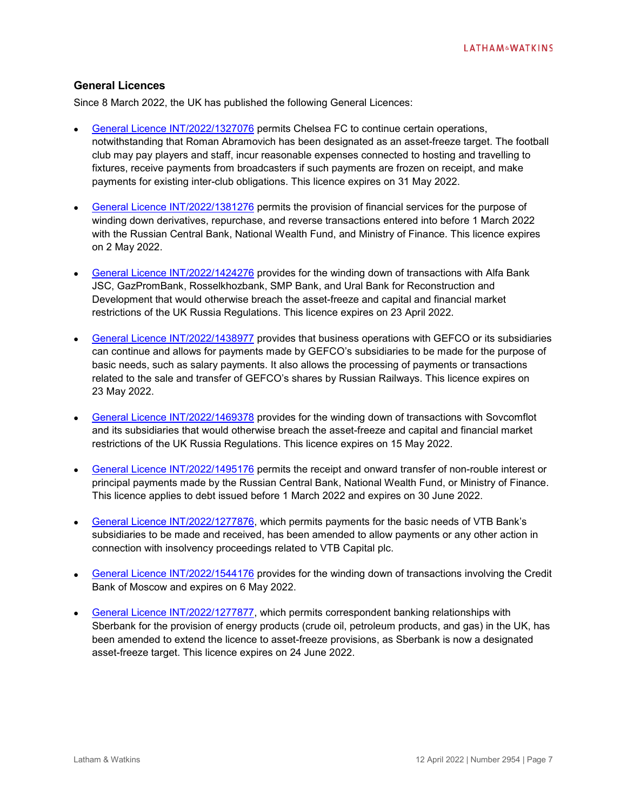#### **General Licences**

Since 8 March 2022, the UK has published the following General Licences:

- [General Licence INT/2022/1327076](https://assets.publishing.service.gov.uk/government/uploads/system/uploads/attachment_data/file/1059929/10032022_OFSI_General_Licence_Football_Matches_.pdf) permits Chelsea FC to continue certain operations, notwithstanding that Roman Abramovich has been designated as an asset-freeze target. The football club may pay players and staff, incur reasonable expenses connected to hosting and travelling to fixtures, receive payments from broadcasters if such payments are frozen on receipt, and make payments for existing inter-club obligations. This licence expires on 31 May 2022.
- [General Licence INT/2022/1381276](https://assets.publishing.service.gov.uk/government/uploads/system/uploads/attachment_data/file/1062348/General_Licence___Publication_Notice_.pdf) permits the provision of financial services for the purpose of winding down derivatives, repurchase, and reverse transactions entered into before 1 March 2022 with the Russian Central Bank, National Wealth Fund, and Ministry of Finance. This licence expires on 2 May 2022.
- [General Licence INT/2022/1424276](https://assets.publishing.service.gov.uk/government/uploads/system/uploads/attachment_data/file/1063223/INT20221424276_GL.pdf) provides for the winding down of transactions with Alfa Bank JSC, GazPromBank, Rosselkhozbank, SMP Bank, and Ural Bank for Reconstruction and Development that would otherwise breach the asset-freeze and capital and financial market restrictions of the UK Russia Regulations. This licence expires on 23 April 2022.
- [General Licence INT/2022/1438977](https://assets.publishing.service.gov.uk/government/uploads/system/uploads/attachment_data/file/1066363/INT.2022.1438977__Continuation_of_Business_wth_GEFCO_general_licence.pdf) provides that business operations with GEFCO or its subsidiaries can continue and allows for payments made by GEFCO's subsidiaries to be made for the purpose of basic needs, such as salary payments. It also allows the processing of payments or transactions related to the sale and transfer of GEFCO's shares by Russian Railways. This licence expires on 23 May 2022.
- [General Licence INT/2022/1469378](https://assets.publishing.service.gov.uk/government/uploads/system/uploads/attachment_data/file/1064308/INT2%5C022.Sovcomflot_29.03.22.pdf) provides for the winding down of transactions with Sovcomflot and its subsidiaries that would otherwise breach the asset-freeze and capital and financial market restrictions of the UK Russia Regulations. This licence expires on 15 May 2022.
- [General Licence INT/2022/1495176](https://assets.publishing.service.gov.uk/government/uploads/system/uploads/attachment_data/file/1065790/INT.2022.1495176.pdf) permits the receipt and onward transfer of non-rouble interest or principal payments made by the Russian Central Bank, National Wealth Fund, or Ministry of Finance. This licence applies to debt issued before 1 March 2022 and expires on 30 June 2022.
- [General Licence INT/2022/1277876,](https://assets.publishing.service.gov.uk/government/uploads/system/uploads/attachment_data/file/1066072/INT.2022.1280876_GL.pdf) which permits payments for the basic needs of VTB Bank's subsidiaries to be made and received, has been amended to allow payments or any other action in connection with insolvency proceedings related to VTB Capital plc.
- [General Licence INT/2022/1544176](https://assets.publishing.service.gov.uk/government/uploads/system/uploads/attachment_data/file/1066997/INT20221544176_gl.pdf) provides for the winding down of transactions involving the Credit Bank of Moscow and expires on 6 May 2022.
- [General Licence INT/2022/1277877,](https://assets.publishing.service.gov.uk/government/uploads/system/uploads/attachment_data/file/1066993/GL_INT.2022.1277877.pdf) which permits correspondent banking relationships with Sberbank for the provision of energy products (crude oil, petroleum products, and gas) in the UK, has been amended to extend the licence to asset-freeze provisions, as Sberbank is now a designated asset-freeze target. This licence expires on 24 June 2022.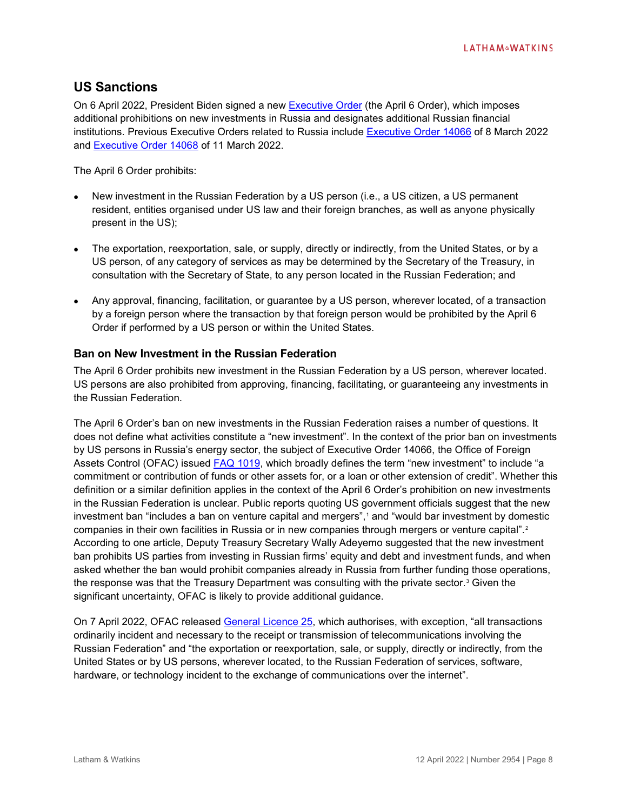# **US Sanctions**

On 6 April 2022, President Biden signed a new [Executive Order](https://www.whitehouse.gov/briefing-room/presidential-actions/2022/04/06/prohibiting-new-investment-in-and-certain-services-to-the-russian-federation-in-response-to-continued-russian-federation-aggression/) (the April 6 Order), which imposes additional prohibitions on new investments in Russia and designates additional Russian financial institutions. Previous Executive Orders related to Russia include [Executive Order 14066](https://www.federalregister.gov/documents/2022/03/10/2022-05232/prohibiting-certain-imports-and-new-investments-with-respect-to-continued-russian-federation-efforts) of 8 March 2022 and [Executive Order 14068](https://home.treasury.gov/system/files/126/14068.pdf) of 11 March 2022.

The April 6 Order prohibits:

- New investment in the Russian Federation by a US person (i.e., a US citizen, a US permanent resident, entities organised under US law and their foreign branches, as well as anyone physically present in the US);
- The exportation, reexportation, sale, or supply, directly or indirectly, from the United States, or by a US person, of any category of services as may be determined by the Secretary of the Treasury, in consultation with the Secretary of State, to any person located in the Russian Federation; and
- Any approval, financing, facilitation, or guarantee by a US person, wherever located, of a transaction by a foreign person where the transaction by that foreign person would be prohibited by the April 6 Order if performed by a US person or within the United States.

## **Ban on New Investment in the Russian Federation**

The April 6 Order prohibits new investment in the Russian Federation by a US person, wherever located. US persons are also prohibited from approving, financing, facilitating, or guaranteeing any investments in the Russian Federation.

The April 6 Order's ban on new investments in the Russian Federation raises a number of questions. It does not define what activities constitute a "new investment". In the context of the prior ban on investments by US persons in Russia's energy sector, the subject of Executive Order 14066, the Office of Foreign Assets Control (OFAC) issued [FAQ 1019,](https://home.treasury.gov/policy-issues/financial-sanctions/faqs/1019) which broadly defines the term "new investment" to include "a commitment or contribution of funds or other assets for, or a loan or other extension of credit". Whether this definition or a similar definition applies in the context of the April 6 Order's prohibition on new investments in the Russian Federation is unclear. Public reports quoting US government officials suggest that the new investment ban "includes a ban on venture capital and mergers",<sup>[1](#page-11-0)</sup> and "would bar investment by domestic companies in their own facilities in Russia or in new companies through mergers or venture capital".<sup>[2](#page-11-1)</sup> According to one article, Deputy Treasury Secretary Wally Adeyemo suggested that the new investment ban prohibits US parties from investing in Russian firms' equity and debt and investment funds, and when asked whether the ban would prohibit companies already in Russia from further funding those operations, the response was that the Treasury Department was consulting with the private sector.<sup>[3](#page-11-2)</sup> Given the significant uncertainty, OFAC is likely to provide additional guidance.

On 7 April 2022, OFAC released [General Licence 25,](https://home.treasury.gov/system/files/126/russia_gl25.pdf) which authorises, with exception, "all transactions ordinarily incident and necessary to the receipt or transmission of telecommunications involving the Russian Federation" and "the exportation or reexportation, sale, or supply, directly or indirectly, from the United States or by US persons, wherever located, to the Russian Federation of services, software, hardware, or technology incident to the exchange of communications over the internet".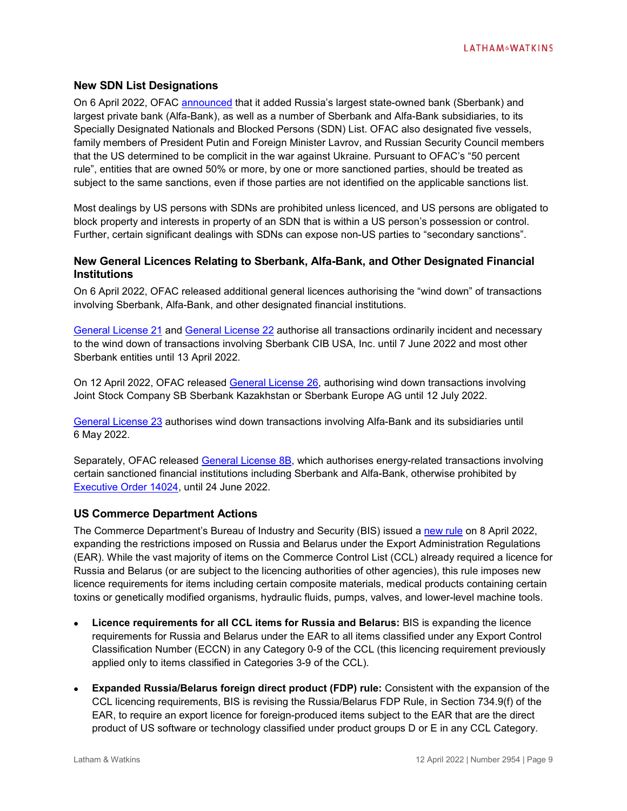#### **New SDN List Designations**

On 6 April 2022, OFAC [announced](https://home.treasury.gov/news/press-releases/jy0705) that it added Russia's largest state-owned bank (Sberbank) and largest private bank (Alfa-Bank), as well as a number of Sberbank and Alfa-Bank subsidiaries, to its Specially Designated Nationals and Blocked Persons (SDN) List. OFAC also designated five vessels, family members of President Putin and Foreign Minister Lavrov, and Russian Security Council members that the US determined to be complicit in the war against Ukraine. Pursuant to OFAC's "50 percent rule", entities that are owned 50% or more, by one or more sanctioned parties, should be treated as subject to the same sanctions, even if those parties are not identified on the applicable sanctions list.

Most dealings by US persons with SDNs are prohibited unless licenced, and US persons are obligated to block property and interests in property of an SDN that is within a US person's possession or control. Further, certain significant dealings with SDNs can expose non-US parties to "secondary sanctions".

#### **New General Licences Relating to Sberbank, Alfa-Bank, and Other Designated Financial Institutions**

On 6 April 2022, OFAC released additional general licences authorising the "wind down" of transactions involving Sberbank, Alfa-Bank, and other designated financial institutions.

[General License 21](https://home.treasury.gov/system/files/126/russia_gl21.pdf) and [General License 22](https://home.treasury.gov/system/files/126/russia_gl22.pdf) authorise all transactions ordinarily incident and necessary to the wind down of transactions involving Sberbank CIB USA, Inc. until 7 June 2022 and most other Sberbank entities until 13 April 2022.

On 12 April 2022, OFAC released [General License 26,](https://home.treasury.gov/system/files/126/russia_gl26.pdf) authorising wind down transactions involving Joint Stock Company SB Sberbank Kazakhstan or Sberbank Europe AG until 12 July 2022.

[General License 23](https://home.treasury.gov/system/files/126/russia_gl23.pdf) authorises wind down transactions involving Alfa-Bank and its subsidiaries until 6 May 2022.

Separately, OFAC released [General License 8B,](https://home.treasury.gov/system/files/126/russia_gl8b.pdf) which authorises energy-related transactions involving certain sanctioned financial institutions including Sberbank and Alfa-Bank, otherwise prohibited by [Executive Order 14024,](https://home.treasury.gov/system/files/126/14024.pdf) until 24 June 2022.

#### **US Commerce Department Actions**

The Commerce Department's Bureau of Industry and Security (BIS) issued a [new rule](https://www.federalregister.gov/public-inspection/2022-07937/export-administration-regulations-expansion-of-sanctions-against-russia-and-belarus) on 8 April 2022, expanding the restrictions imposed on Russia and Belarus under the Export Administration Regulations (EAR). While the vast majority of items on the Commerce Control List (CCL) already required a licence for Russia and Belarus (or are subject to the licencing authorities of other agencies), this rule imposes new licence requirements for items including certain composite materials, medical products containing certain toxins or genetically modified organisms, hydraulic fluids, pumps, valves, and lower-level machine tools.

- **Licence requirements for all CCL items for Russia and Belarus:** BIS is expanding the licence requirements for Russia and Belarus under the EAR to all items classified under any Export Control Classification Number (ECCN) in any Category 0-9 of the CCL (this licencing requirement previously applied only to items classified in Categories 3-9 of the CCL).
- **Expanded Russia/Belarus foreign direct product (FDP) rule:** Consistent with the expansion of the CCL licencing requirements, BIS is revising the Russia/Belarus FDP Rule, in Section 734.9(f) of the EAR, to require an export licence for foreign-produced items subject to the EAR that are the direct product of US software or technology classified under product groups D or E in any CCL Category.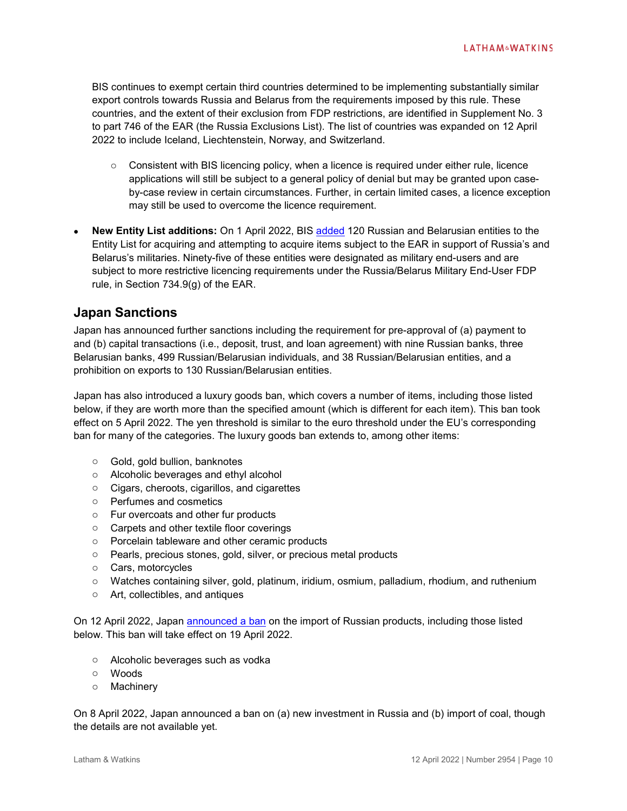BIS continues to exempt certain third countries determined to be implementing substantially similar export controls towards Russia and Belarus from the requirements imposed by this rule. These countries, and the extent of their exclusion from FDP restrictions, are identified in Supplement No. 3 to part 746 of the EAR (the Russia Exclusions List). The list of countries was expanded on 12 April 2022 to include Iceland, Liechtenstein, Norway, and Switzerland.

- $\circ$  Consistent with BIS licencing policy, when a licence is required under either rule, licence applications will still be subject to a general policy of denial but may be granted upon caseby-case review in certain circumstances. Further, in certain limited cases, a licence exception may still be used to overcome the licence requirement.
- **New Entity List additions:** On 1 April 2022, BIS [added](https://www.bis.doc.gov/index.php/documents/about-bis/newsroom/press-releases/2946-2022-04-01-bis-press-release-120-russia-belarus-entity-list-additions/file) 120 Russian and Belarusian entities to the Entity List for acquiring and attempting to acquire items subject to the EAR in support of Russia's and Belarus's militaries. Ninety-five of these entities were designated as military end-users and are subject to more restrictive licencing requirements under the Russia/Belarus Military End-User FDP rule, in Section 734.9(g) of the EAR.

# **Japan Sanctions**

Japan has announced further sanctions including the requirement for pre-approval of (a) payment to and (b) capital transactions (i.e., deposit, trust, and loan agreement) with nine Russian banks, three Belarusian banks, 499 Russian/Belarusian individuals, and 38 Russian/Belarusian entities, and a prohibition on exports to 130 Russian/Belarusian entities.

Japan has also introduced a luxury goods ban, which covers a number of items, including those listed below, if they are worth more than the specified amount (which is different for each item). This ban took effect on 5 April 2022. The yen threshold is similar to the euro threshold under the EU's corresponding ban for many of the categories. The luxury goods ban extends to, among other items:

- o Gold, gold bullion, banknotes
- o Alcoholic beverages and ethyl alcohol
- o Cigars, cheroots, cigarillos, and cigarettes
- o Perfumes and cosmetics
- o Fur overcoats and other fur products
- o Carpets and other textile floor coverings
- o Porcelain tableware and other ceramic products
- o Pearls, precious stones, gold, silver, or precious metal products
- o Cars, motorcycles
- o Watches containing silver, gold, platinum, iridium, osmium, palladium, rhodium, and ruthenium
- o Art, collectibles, and antiques

On 12 April 2022, Japan [announced a ban](https://japan.kantei.go.jp/ongoingtopics/pdf/jp_stands_with_ukraine_eng.pdf) on the import of Russian products, including those listed below. This ban will take effect on 19 April 2022.

- o Alcoholic beverages such as vodka
- o Woods
- o Machinery

On 8 April 2022, Japan announced a ban on (a) new investment in Russia and (b) import of coal, though the details are not available yet.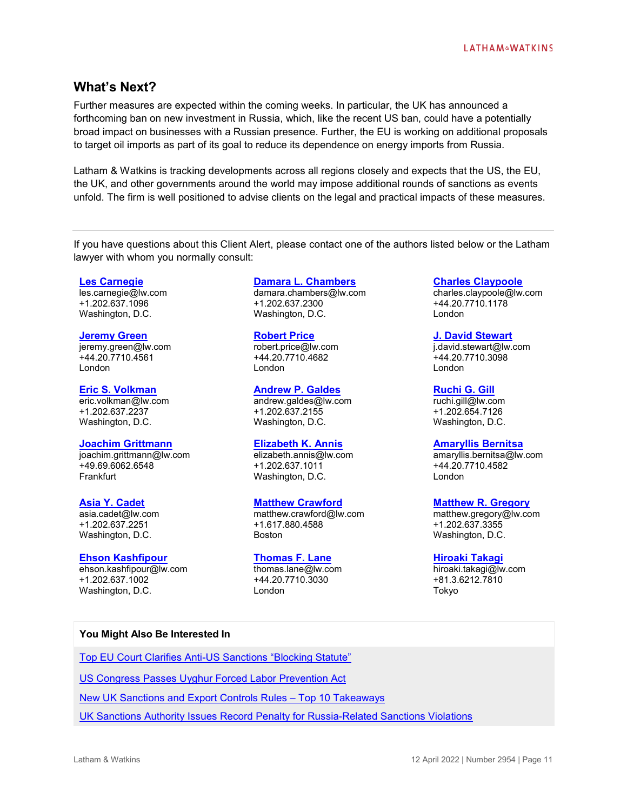# **What's Next?**

Further measures are expected within the coming weeks. In particular, the UK has announced a forthcoming ban on new investment in Russia, which, like the recent US ban, could have a potentially broad impact on businesses with a Russian presence. Further, the EU is working on additional proposals to target oil imports as part of its goal to reduce its dependence on energy imports from Russia.

Latham & Watkins is tracking developments across all regions closely and expects that the US, the EU, the UK, and other governments around the world may impose additional rounds of sanctions as events unfold. The firm is well positioned to advise clients on the legal and practical impacts of these measures.

If you have questions about this Client Alert, please contact one of the authors listed below or the Latham lawyer with whom you normally consult:

#### **Les [Carnegie](https://www.lw.com/people/les-carnegie)**

les.carnegie@lw.com +1.202.637.1096 Washington, D.C.

#### **[Jeremy Green](https://www.lw.com/people/jeremy-green)**

jeremy.green@lw.com +44.20.7710.4561 London

#### **[Eric S. Volkman](https://www.lw.com/people/eric-volkman)**

eric.volkman@lw.com +1.202.637.2237 Washington, D.C.

#### **[Joachim Grittmann](https://www.lw.com/people/joachim-grittmann)**

joachim.grittmann@lw.com +49.69.6062.6548 Frankfurt

#### **[Asia Y. Cadet](https://www.lw.com/people/asia-cadet)**

asia.cadet@lw.com +1.202.637.2251 Washington, D.C.

#### **[Ehson Kashfipour](https://www.lw.com/people/ehson-kashfipour)**

ehson.kashfipour@lw.com +1.202.637.1002 Washington, D.C.

#### **[Damara L. Chambers](https://www.lw.com/people/damara-chambers)**

damara.chambers@lw.com +1.202.637.2300 Washington, D.C.

#### **[Robert Price](https://www.lw.com/people/robert-price)**

robert.price@lw.com +44.20.7710.4682 London

## **[Andrew P. Galdes](https://www.lw.com/people/andrew-galdes)**

andrew.galdes@lw.com +1.202.637.2155 Washington, D.C.

#### **[Elizabeth K.](https://www.lw.com/people/elizabeth-annis) Annis**

elizabeth.annis@lw.com +1.202.637.1011 Washington, D.C.

#### **[Matthew Crawford](https://www.lw.com/people/matthew-crawford)**

matthew.crawford@lw.com +1.617.880.4588 Boston

# **[Thomas F. Lane](https://www.lw.com/people/thomas-lane)**

thomas.lane@lw.com +44.20.7710.3030 London

#### **[Charles Claypoole](https://www.lw.com/people/charles-claypoole)**

charles.claypoole@lw.com +44.20.7710.1178 London

#### **[J. David Stewart](https://www.lw.com/people/j-david-stewart)**

j.david.stewart@lw.com +44.20.7710.3098 London

#### **[Ruchi G. Gill](https://www.lw.com/people/ruchi-gill)**

ruchi.gill@lw.com +1.202.654.7126 Washington, D.C.

#### **[Amaryllis Bernitsa](https://www.lw.com/people/amaryllis-bernitsa)**

amaryllis.bernitsa@lw.com +44.20.7710.4582 London

#### **[Matthew R. Gregory](https://www.lw.com/people/matthew-gregory)**

matthew.gregory@lw.com +1.202.637.3355 Washington, D.C.

#### **[Hiroaki](https://www.lw.com/people/hiroaki-takagi) Takagi**

hiroaki.takagi@lw.com +81.3.6212.7810 Tokyo

#### **You Might Also Be Interested In**

[Top EU Court Clarifies Anti-US Sanctions "Blocking Statute"](https://www.lw.com/thoughtLeadership/Top-EU-Court-Clarifies-Anti-US-Sanctions-Blocking-Statute)

[US Congress Passes Uyghur Forced Labor Prevention Act](https://www.globalelr.com/2021/12/us-house-of-representatives-passes-uyghur-forced-labor-prevention-act/)

[New UK Sanctions and Export Controls Rules –](https://www.lw.com/thoughtLeadership/lw-new-uk-sanctions-and-export-controls-rules-top-10-takeaways) Top 10 Takeaways

[UK Sanctions Authority Issues Record Penalty for Russia-Related Sanctions Violations](https://www.lw.com/thoughtLeadership/uk-sanctions-authority-issues-record-penalty-for-russia-related-sanctions-violations)